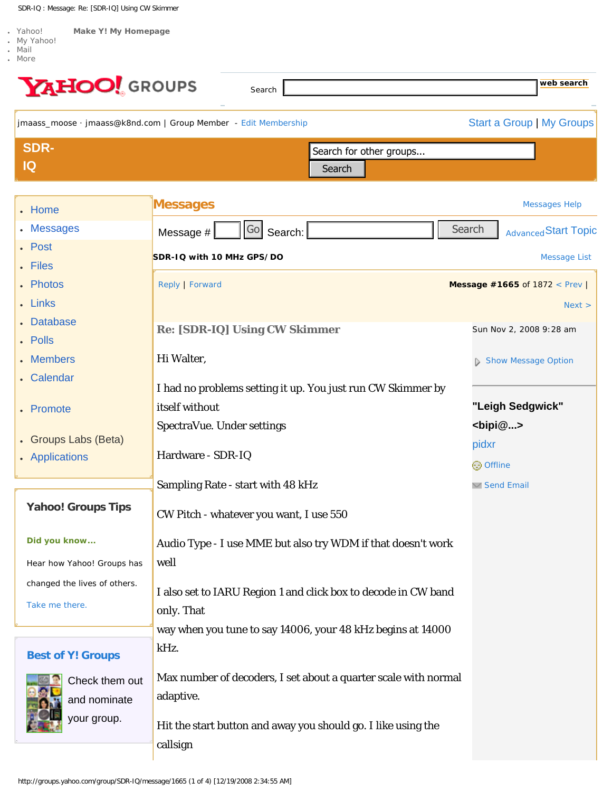<span id="page-0-0"></span>SDR-IQ : Message: Re: [SDR-IQ] Using CW Skimmer

| YAHOO! GROUPS                | Search                                                                    | web search                            |
|------------------------------|---------------------------------------------------------------------------|---------------------------------------|
|                              | jmaass_moose · jmaass@k8nd.com   Group Member - Edit Membership           | <b>Start a Group   My Groups</b>      |
| <b>SDR-</b>                  | Search for other groups                                                   |                                       |
| IQ                           | Search                                                                    |                                       |
| • Home                       | <b>Messages</b>                                                           | <b>Messages Help</b>                  |
| <b>Messages</b>              | Go<br>Search:<br>Message #                                                | Search<br><b>Advanced Start Topic</b> |
| . Post                       | SDR-IQ with 10 MHz GPS/DO                                                 | <b>Message List</b>                   |
| Files<br>• Photos            | Reply   Forward                                                           | Message #1665 of 1872 < Prev          |
| . Links                      |                                                                           | Next >                                |
| <b>Database</b>              |                                                                           |                                       |
| . Polls                      | <b>Re: [SDR-IQ] Using CW Skimmer</b>                                      | Sun Nov 2, 2008 9:28 am               |
| <b>Members</b>               | Hi Walter,                                                                | Show Message Option                   |
| . Calendar                   | I had no problems setting it up. You just run CW Skimmer by               |                                       |
| • Promote                    | itself without                                                            | "Leigh Sedgwick"                      |
|                              | SpectraVue. Under settings                                                | $<$ bipi $@>$                         |
| • Groups Labs (Beta)         |                                                                           | pidxr                                 |
| • Applications               | Hardware - SDR-IQ                                                         | <b>⊜</b> Offline                      |
|                              | Sampling Rate - start with 48 kHz                                         | <b>▽ Send Email</b>                   |
| <b>Yahoo! Groups Tips</b>    | CW Pitch - whatever you want, I use 550                                   |                                       |
|                              |                                                                           |                                       |
| Did you know                 | Audio Type - I use MME but also try WDM if that doesn't work              |                                       |
| Hear how Yahoo! Groups has   | well                                                                      |                                       |
| changed the lives of others. | I also set to IARU Region 1 and click box to decode in CW band            |                                       |
| Take me there.               | only. That                                                                |                                       |
|                              | way when you tune to say 14006, your 48 kHz begins at 14000               |                                       |
| <b>Best of Y! Groups</b>     | kHz.                                                                      |                                       |
| Check them out               | Max number of decoders, I set about a quarter scale with normal           |                                       |
| and nominate                 | adaptive.                                                                 |                                       |
| your group.                  |                                                                           |                                       |
|                              | Hit the start button and away you should go. I like using the<br>callsign |                                       |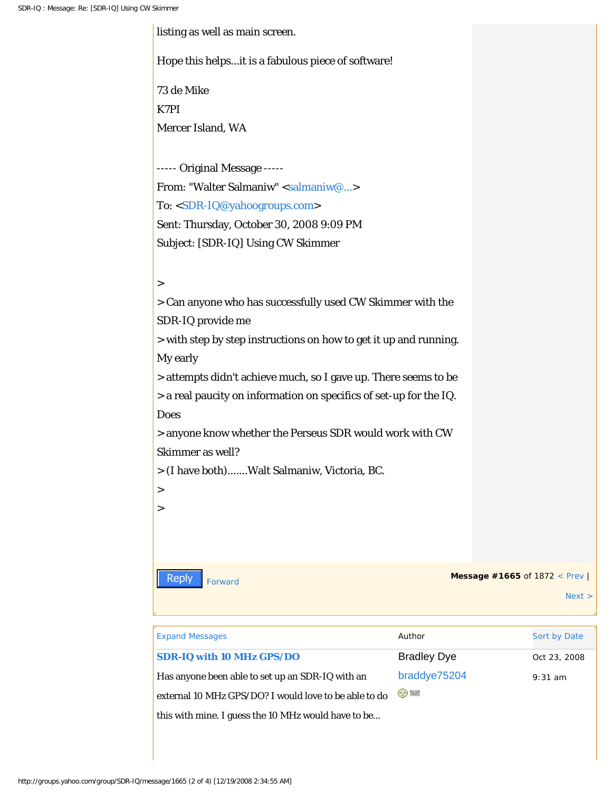| listing as well as main screen.                                    |                              |
|--------------------------------------------------------------------|------------------------------|
| Hope this helpsit is a fabulous piece of software!                 |                              |
| 73 de Mike                                                         |                              |
| K7PI                                                               |                              |
| Mercer Island, WA                                                  |                              |
|                                                                    |                              |
| ----- Original Message -----                                       |                              |
| From: "Walter Salmaniw" <salmaniw@></salmaniw@>                    |                              |
| To: <sdr-iq@yahoogroups.com></sdr-iq@yahoogroups.com>              |                              |
| Sent: Thursday, October 30, 2008 9:09 PM                           |                              |
| Subject: [SDR-IQ] Using CW Skimmer                                 |                              |
|                                                                    |                              |
| $\rm{~}$                                                           |                              |
| > Can anyone who has successfully used CW Skimmer with the         |                              |
| SDR-IQ provide me                                                  |                              |
| > with step by step instructions on how to get it up and running.  |                              |
| My early                                                           |                              |
| > attempts didn't achieve much, so I gave up. There seems to be    |                              |
| > a real paucity on information on specifics of set-up for the IQ. |                              |
| <b>Does</b>                                                        |                              |
| > anyone know whether the Perseus SDR would work with CW           |                              |
| Skimmer as well?                                                   |                              |
| > (I have both)Walt Salmaniw, Victoria, BC.                        |                              |
| $\rm{>}$                                                           |                              |
| >                                                                  |                              |
|                                                                    |                              |
|                                                                    |                              |
| <b>Reply</b><br>Forward                                            | Message #1665 of 1872 < Prev |
|                                                                    | Next >                       |
|                                                                    |                              |

| <b>Reply</b><br>Forward                                                            |                    | <b>Message #1665 of 1872 &lt; Prev</b> |
|------------------------------------------------------------------------------------|--------------------|----------------------------------------|
|                                                                                    |                    | Next >                                 |
|                                                                                    |                    |                                        |
| <b>Expand Messages</b>                                                             | Author             | Sort by Date                           |
| SDR-IQ with 10 MHz GPS/DO                                                          | <b>Bradley Dye</b> | Oct 23, 2008                           |
| Has anyone been able to set up an SDR-IQ with an                                   | braddye75204       | $9:31$ am                              |
| external 10 MHz GPS/DO? I would love to be able to do                              | ⊜∨                 |                                        |
| this with mine. I guess the 10 MHz would have to be                                |                    |                                        |
|                                                                                    |                    |                                        |
|                                                                                    |                    |                                        |
|                                                                                    |                    |                                        |
| http://groups.yahoo.com/group/SDR-IQ/message/1665 (2 of 4) [12/19/2008 2:34:55 AM] |                    |                                        |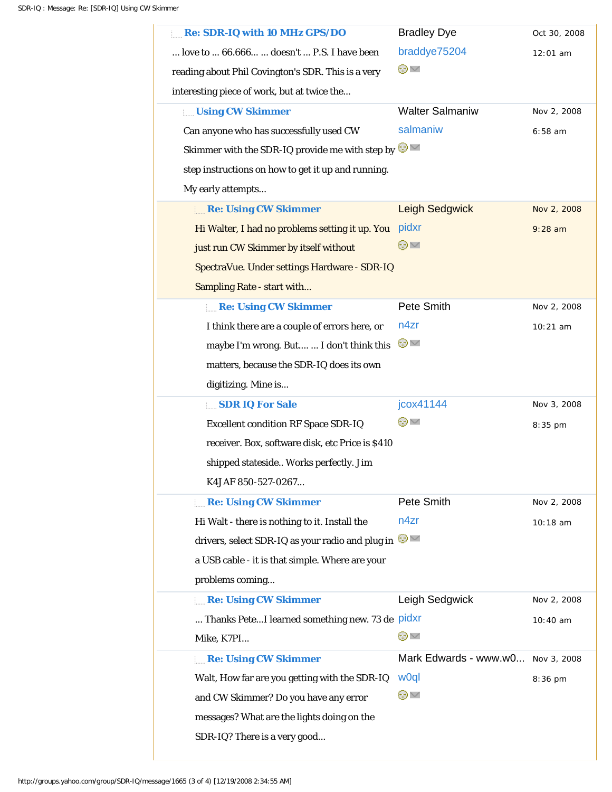| Re: SDR-IQ with 10 MHz GPS/DO                             | <b>Bradley Dye</b>     | Oct 30, 2008 |
|-----------------------------------------------------------|------------------------|--------------|
| love to  66.666  doesn't  P.S. I have been                | braddye75204           | $12:01$ am   |
| reading about Phil Covington's SDR. This is a very        | ⊜∨                     |              |
| interesting piece of work, but at twice the               |                        |              |
| <b>Using CW Skimmer</b>                                   | <b>Walter Salmaniw</b> | Nov 2, 2008  |
| Can anyone who has successfully used CW                   | salmaniw               | $6:58$ am    |
| Skimmer with the SDR-IQ provide me with step by $\bullet$ |                        |              |
| step instructions on how to get it up and running.        |                        |              |
| My early attempts                                         |                        |              |
| Re: Using CW Skimmer                                      | Leigh Sedgwick         | Nov 2, 2008  |
| Hi Walter, I had no problems setting it up. You           | pidxr                  | $9:28$ am    |
| just run CW Skimmer by itself without                     | ⊝घ                     |              |
| SpectraVue. Under settings Hardware - SDR-IQ              |                        |              |
| Sampling Rate - start with                                |                        |              |
| Re: Using CW Skimmer                                      | Pete Smith             | Nov 2, 2008  |
| I think there are a couple of errors here, or             | n4zr                   | $10:21$ am   |
| maybe I'm wrong. But  I don't think this                  | ⊕⊻                     |              |
| matters, because the SDR-IQ does its own                  |                        |              |
| digitizing. Mine is                                       |                        |              |
| SDR IQ For Sale                                           | jcox41144              | Nov 3, 2008  |
| <b>Excellent condition RF Space SDR-IQ</b>                | ⊖∨                     | 8:35 pm      |
| receiver. Box, software disk, etc Price is \$410          |                        |              |
|                                                           |                        |              |
| shipped stateside Works perfectly. Jim                    |                        |              |
| K4JAF 850-527-0267                                        |                        |              |
| <b>Re: Using CW Skimmer</b>                               | Pete Smith             | Nov 2, 2008  |
| Hi Walt - there is nothing to it. Install the             | n4zr                   | 10:18 am     |
| drivers, select SDR-IQ as your radio and plug in          |                        |              |
| a USB cable - it is that simple. Where are your           |                        |              |
| problems coming                                           |                        |              |
| <b>Re: Using CW Skimmer</b>                               | Leigh Sedgwick         | Nov 2, 2008  |
| Thanks PeteI learned something new. 73 de pidxr           |                        | 10:40 am     |
| Mike, K7PI                                                | ⊝∨                     |              |
| Re: Using CW Skimmer                                      | Mark Edwards - www.w0  | Nov 3, 2008  |
| Walt, How far are you getting with the SDR-IQ             | w0ql                   | $8:36$ pm    |
| and CW Skimmer? Do you have any error                     | ⊖∨                     |              |
| messages? What are the lights doing on the                |                        |              |
| SDR-IQ? There is a very good                              |                        |              |